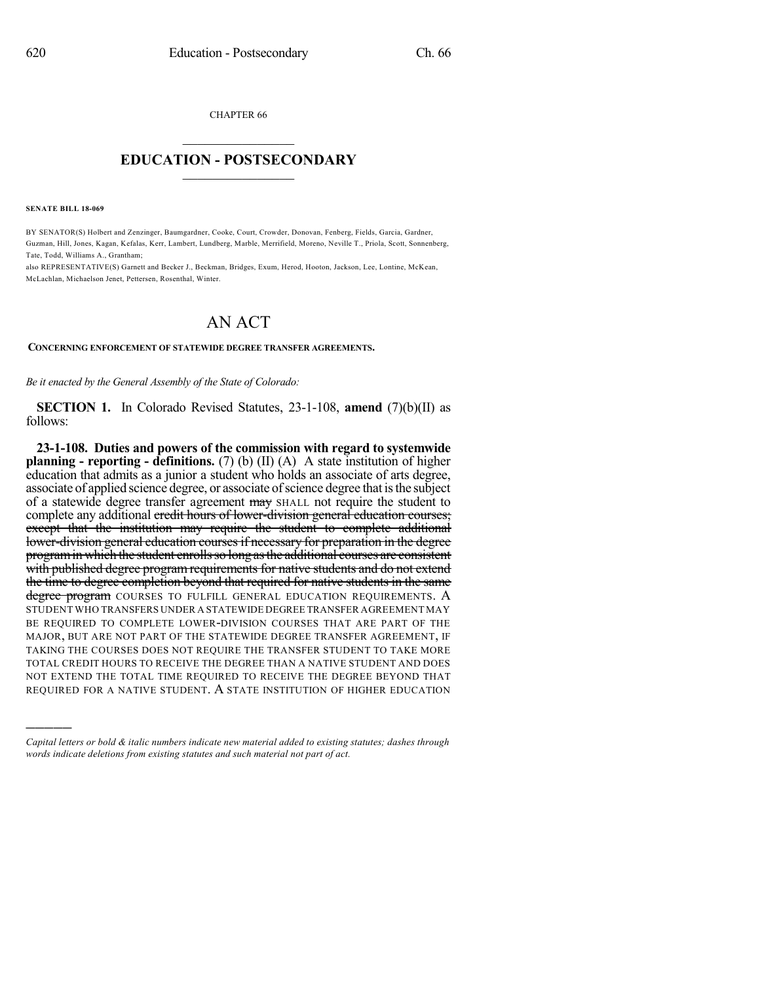CHAPTER 66  $\overline{\phantom{a}}$  . The set of the set of the set of the set of the set of the set of the set of the set of the set of the set of the set of the set of the set of the set of the set of the set of the set of the set of the set o

## **EDUCATION - POSTSECONDARY**  $\_$   $\_$   $\_$   $\_$   $\_$   $\_$   $\_$   $\_$   $\_$

**SENATE BILL 18-069**

)))))

BY SENATOR(S) Holbert and Zenzinger, Baumgardner, Cooke, Court, Crowder, Donovan, Fenberg, Fields, Garcia, Gardner, Guzman, Hill, Jones, Kagan, Kefalas, Kerr, Lambert, Lundberg, Marble, Merrifield, Moreno, Neville T., Priola, Scott, Sonnenberg, Tate, Todd, Williams A., Grantham;

also REPRESENTATIVE(S) Garnett and Becker J., Beckman, Bridges, Exum, Herod, Hooton, Jackson, Lee, Lontine, McKean, McLachlan, Michaelson Jenet, Pettersen, Rosenthal, Winter.

## AN ACT

## **CONCERNING ENFORCEMENT OF STATEWIDE DEGREE TRANSFER AGREEMENTS.**

*Be it enacted by the General Assembly of the State of Colorado:*

**SECTION 1.** In Colorado Revised Statutes, 23-1-108, **amend** (7)(b)(II) as follows:

**23-1-108. Duties and powers of the commission with regard to systemwide planning - reporting - definitions.** (7) (b) (II) (A) A state institution of higher education that admits as a junior a student who holds an associate of arts degree, associate of applied science degree, or associate of science degree that is the subject of a statewide degree transfer agreement may SHALL not require the student to complete any additional credit hours of lower-division general education courses; except that the institution may require the student to complete additional lower-division general education courses if necessary for preparation in the degree programin which the student enrollsso long asthe additional courses are consistent with published degree program requirements for native students and do not extend the time to degree completion beyond that required for native students in the same degree program COURSES TO FULFILL GENERAL EDUCATION REQUIREMENTS. A STUDENT WHO TRANSFERS UNDER A STATEWIDE DEGREE TRANSFER AGREEMENT MAY BE REQUIRED TO COMPLETE LOWER-DIVISION COURSES THAT ARE PART OF THE MAJOR, BUT ARE NOT PART OF THE STATEWIDE DEGREE TRANSFER AGREEMENT, IF TAKING THE COURSES DOES NOT REQUIRE THE TRANSFER STUDENT TO TAKE MORE TOTAL CREDIT HOURS TO RECEIVE THE DEGREE THAN A NATIVE STUDENT AND DOES NOT EXTEND THE TOTAL TIME REQUIRED TO RECEIVE THE DEGREE BEYOND THAT REQUIRED FOR A NATIVE STUDENT. A STATE INSTITUTION OF HIGHER EDUCATION

*Capital letters or bold & italic numbers indicate new material added to existing statutes; dashes through words indicate deletions from existing statutes and such material not part of act.*